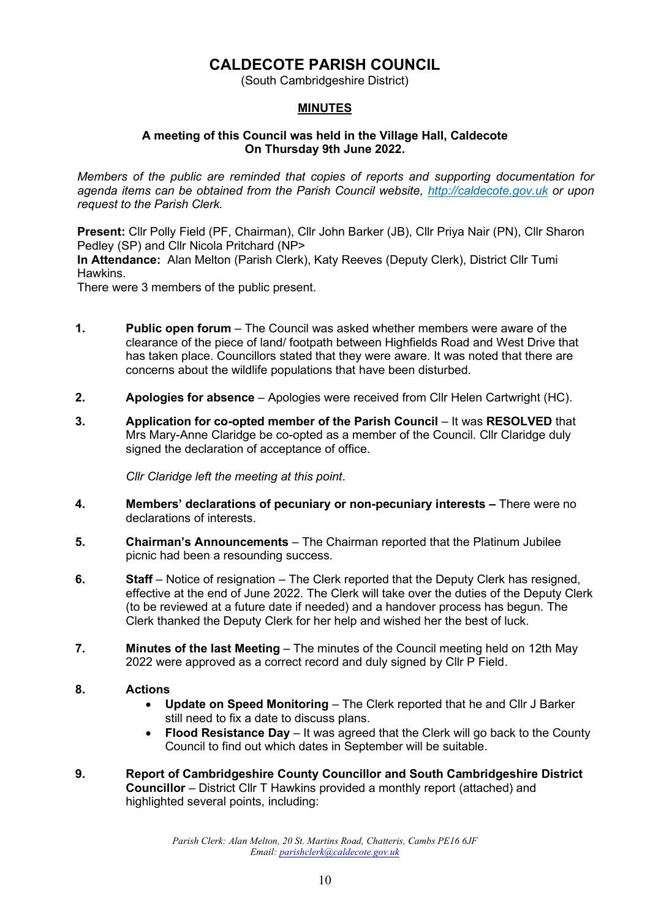# **CALDECOTE PARISH COUNCIL**

(South Cambridgeshire District)

#### **MINUTES**

#### **A meeting of this Council was held in the Village Hall, Caldecote On Thursday 9th June 2022.**

*Members of the public are reminded that copies of reports and supporting documentation for agenda items can be obtained from the Parish Council website, [http://caldecote.gov.uk](http://caldecote.gov.uk/) or upon request to the Parish Clerk.*

**Present:** Cllr Polly Field (PF, Chairman), Cllr John Barker (JB), Cllr Priya Nair (PN), Cllr Sharon Pedley (SP) and Cllr Nicola Pritchard (NP>

**In Attendance:** Alan Melton (Parish Clerk), Katy Reeves (Deputy Clerk), District Cllr Tumi Hawkins.

There were 3 members of the public present.

- **1. Public open forum** The Council was asked whether members were aware of the clearance of the piece of land/ footpath between Highfields Road and West Drive that has taken place. Councillors stated that they were aware. It was noted that there are concerns about the wildlife populations that have been disturbed.
- **2. Apologies for absence**  Apologies were received from Cllr Helen Cartwright (HC).
- **3. Application for co-opted member of the Parish Council** It was **RESOLVED** that Mrs Mary-Anne Claridge be co-opted as a member of the Council. Cllr Claridge duly signed the declaration of acceptance of office.

*Cllr Claridge left the meeting at this point*.

- **4. Members' declarations of pecuniary or non-pecuniary interests –** There were no declarations of interests.
- **5. Chairman's Announcements** The Chairman reported that the Platinum Jubilee picnic had been a resounding success.
- **6. Staff** Notice of resignation The Clerk reported that the Deputy Clerk has resigned, effective at the end of June 2022. The Clerk will take over the duties of the Deputy Clerk (to be reviewed at a future date if needed) and a handover process has begun. The Clerk thanked the Deputy Clerk for her help and wished her the best of luck.
- **7. Minutes of the last Meeting** The minutes of the Council meeting held on 12th May 2022 were approved as a correct record and duly signed by Cllr P Field.
- **8. Actions**
	- **Update on Speed Monitoring**  The Clerk reported that he and Cllr J Barker still need to fix a date to discuss plans.
	- **Flood Resistance Day** It was agreed that the Clerk will go back to the County Council to find out which dates in September will be suitable.
- **9. Report of Cambridgeshire County Councillor and South Cambridgeshire District Councillor** – District Cllr T Hawkins provided a monthly report (attached) and highlighted several points, including:

*Parish Clerk: Alan Melton, 20 St. Martins Road, Chatteris, Cambs PE16 6JF Email: [parishclerk@caldecote.gov.uk](mailto:parishclerk@caldecote.gov.uk)*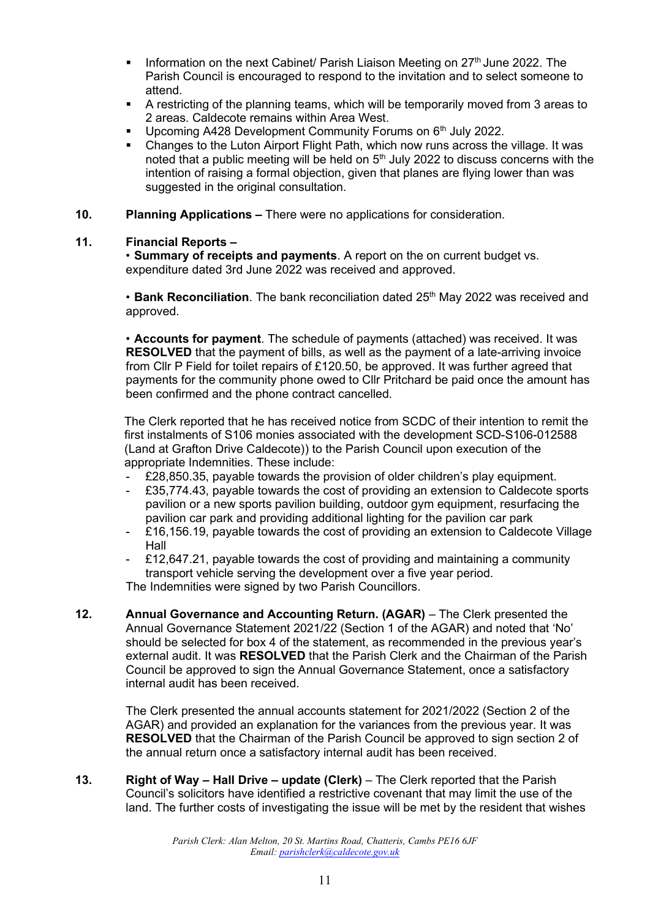- **•** Information on the next Cabinet/ Parish Liaison Meeting on 27<sup>th</sup> June 2022. The Parish Council is encouraged to respond to the invitation and to select someone to attend.
- A restricting of the planning teams, which will be temporarily moved from 3 areas to 2 areas. Caldecote remains within Area West.
- Upcoming A428 Development Community Forums on  $6<sup>th</sup>$  July 2022.
- Changes to the Luton Airport Flight Path, which now runs across the village. It was noted that a public meeting will be held on  $5<sup>th</sup>$  July 2022 to discuss concerns with the intention of raising a formal objection, given that planes are flying lower than was suggested in the original consultation.
- **10. Planning Applications –** There were no applications for consideration.

#### **11. Financial Reports –**

• **Summary of receipts and payments**. A report on the on current budget vs. expenditure dated 3rd June 2022 was received and approved.

• Bank Reconciliation. The bank reconciliation dated 25<sup>th</sup> May 2022 was received and approved.

• **Accounts for payment**. The schedule of payments (attached) was received. It was **RESOLVED** that the payment of bills, as well as the payment of a late-arriving invoice from Cllr P Field for toilet repairs of £120.50, be approved. It was further agreed that payments for the community phone owed to Cllr Pritchard be paid once the amount has been confirmed and the phone contract cancelled.

The Clerk reported that he has received notice from SCDC of their intention to remit the first instalments of S106 monies associated with the development SCD-S106-012588 (Land at Grafton Drive Caldecote)) to the Parish Council upon execution of the appropriate Indemnities. These include:

- £28,850.35, payable towards the provision of older children's play equipment.
- £35,774.43, payable towards the cost of providing an extension to Caldecote sports pavilion or a new sports pavilion building, outdoor gym equipment, resurfacing the pavilion car park and providing additional lighting for the pavilion car park
- £16,156.19, payable towards the cost of providing an extension to Caldecote Village Hall
- £12,647.21, payable towards the cost of providing and maintaining a community transport vehicle serving the development over a five year period.

The Indemnities were signed by two Parish Councillors.

**12. Annual Governance and Accounting Return. (AGAR)** – The Clerk presented the Annual Governance Statement 2021/22 (Section 1 of the AGAR) and noted that 'No' should be selected for box 4 of the statement, as recommended in the previous year's external audit. It was **RESOLVED** that the Parish Clerk and the Chairman of the Parish Council be approved to sign the Annual Governance Statement, once a satisfactory internal audit has been received.

The Clerk presented the annual accounts statement for 2021/2022 (Section 2 of the AGAR) and provided an explanation for the variances from the previous year. It was **RESOLVED** that the Chairman of the Parish Council be approved to sign section 2 of the annual return once a satisfactory internal audit has been received.

**13. Right of Way – Hall Drive – update (Clerk)** – The Clerk reported that the Parish Council's solicitors have identified a restrictive covenant that may limit the use of the land. The further costs of investigating the issue will be met by the resident that wishes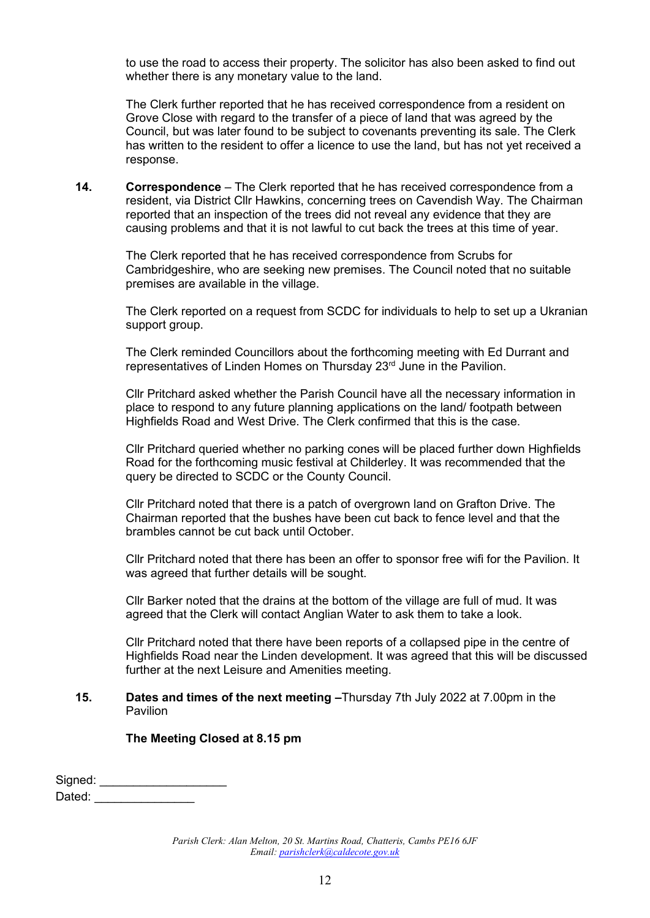to use the road to access their property. The solicitor has also been asked to find out whether there is any monetary value to the land.

The Clerk further reported that he has received correspondence from a resident on Grove Close with regard to the transfer of a piece of land that was agreed by the Council, but was later found to be subject to covenants preventing its sale. The Clerk has written to the resident to offer a licence to use the land, but has not yet received a response.

**14. Correspondence** – The Clerk reported that he has received correspondence from a resident, via District Cllr Hawkins, concerning trees on Cavendish Way. The Chairman reported that an inspection of the trees did not reveal any evidence that they are causing problems and that it is not lawful to cut back the trees at this time of year.

The Clerk reported that he has received correspondence from Scrubs for Cambridgeshire, who are seeking new premises. The Council noted that no suitable premises are available in the village.

The Clerk reported on a request from SCDC for individuals to help to set up a Ukranian support group.

The Clerk reminded Councillors about the forthcoming meeting with Ed Durrant and representatives of Linden Homes on Thursday 23<sup>rd</sup> June in the Pavilion.

Cllr Pritchard asked whether the Parish Council have all the necessary information in place to respond to any future planning applications on the land/ footpath between Highfields Road and West Drive. The Clerk confirmed that this is the case.

Cllr Pritchard queried whether no parking cones will be placed further down Highfields Road for the forthcoming music festival at Childerley. It was recommended that the query be directed to SCDC or the County Council.

Cllr Pritchard noted that there is a patch of overgrown land on Grafton Drive. The Chairman reported that the bushes have been cut back to fence level and that the brambles cannot be cut back until October.

Cllr Pritchard noted that there has been an offer to sponsor free wifi for the Pavilion. It was agreed that further details will be sought.

Cllr Barker noted that the drains at the bottom of the village are full of mud. It was agreed that the Clerk will contact Anglian Water to ask them to take a look.

Cllr Pritchard noted that there have been reports of a collapsed pipe in the centre of Highfields Road near the Linden development. It was agreed that this will be discussed further at the next Leisure and Amenities meeting.

#### **15. Dates and times of the next meeting -Thursday 7th July 2022 at 7.00pm in the** Pavilion

#### **The Meeting Closed at 8.15 pm**

Signed: \_\_\_\_\_\_\_\_\_\_\_\_\_\_\_\_\_\_\_ Dated: \_\_\_\_\_\_\_\_\_\_\_\_\_\_\_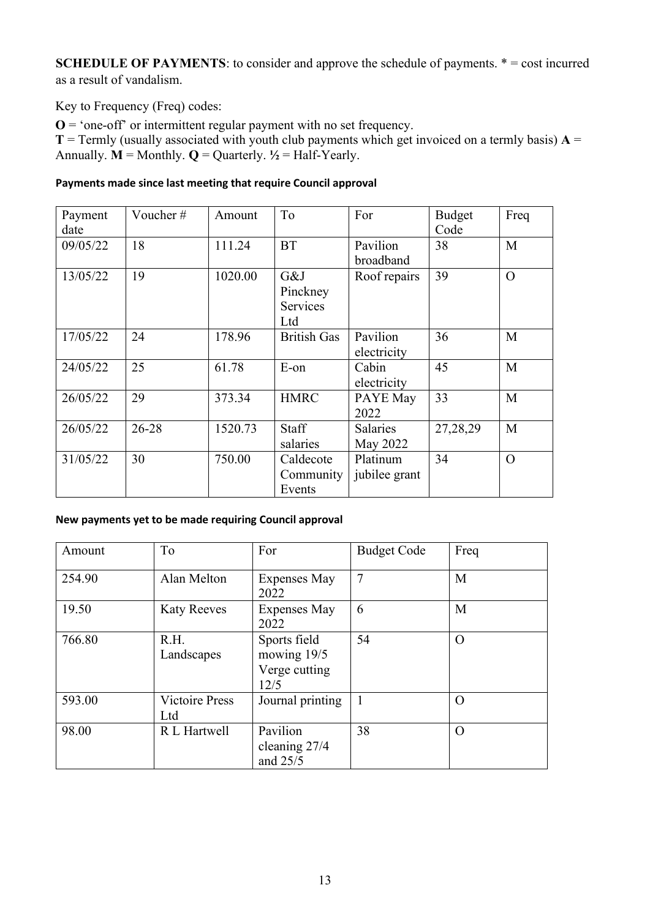**SCHEDULE OF PAYMENTS:** to consider and approve the schedule of payments.  $* = \text{cost incurred}$ as a result of vandalism.

Key to Frequency (Freq) codes:

 $\mathbf{O} =$  'one-off' or intermittent regular payment with no set frequency.

**T** = Termly (usually associated with youth club payments which get invoiced on a termly basis)  $A =$ Annually.  $M =$  Monthly.  $Q =$  Quarterly.  $\frac{1}{2}$  = Half-Yearly.

#### **Payments made since last meeting that require Council approval**

| Payment<br>date | Voucher# | Amount  | To                                        | For                       | <b>Budget</b><br>Code | Freq     |
|-----------------|----------|---------|-------------------------------------------|---------------------------|-----------------------|----------|
| 09/05/22        | 18       | 111.24  | <b>BT</b>                                 | Pavilion<br>broadband     | 38                    | M        |
| 13/05/22        | 19       | 1020.00 | G&J<br>Pinckney<br><b>Services</b><br>Ltd | Roof repairs              | 39                    | $\Omega$ |
| 17/05/22        | 24       | 178.96  | <b>British Gas</b>                        | Pavilion<br>electricity   | 36                    | M        |
| 24/05/22        | 25       | 61.78   | E-on                                      | Cabin<br>electricity      | 45                    | M        |
| 26/05/22        | 29       | 373.34  | <b>HMRC</b>                               | PAYE May<br>2022          | 33                    | M        |
| 26/05/22        | 26-28    | 1520.73 | Staff<br>salaries                         | Salaries<br>May 2022      | 27,28,29              | M        |
| 31/05/22        | 30       | 750.00  | Caldecote<br>Community<br>Events          | Platinum<br>jubilee grant | 34                    | $\Omega$ |

## **New payments yet to be made requiring Council approval**

| Amount | To                           | For                                                  | <b>Budget Code</b> | Freq     |
|--------|------------------------------|------------------------------------------------------|--------------------|----------|
| 254.90 | Alan Melton                  | <b>Expenses May</b><br>2022                          | $\overline{7}$     | M        |
| 19.50  | <b>Katy Reeves</b>           | <b>Expenses May</b><br>2022                          | 6                  | M        |
| 766.80 | R.H.<br>Landscapes           | Sports field<br>mowing 19/5<br>Verge cutting<br>12/5 | 54                 | $\Omega$ |
| 593.00 | <b>Victoire Press</b><br>Ltd | Journal printing                                     | 1                  | O        |
| 98.00  | R L Hartwell                 | Pavilion<br>cleaning 27/4<br>and 25/5                | 38                 | $\Omega$ |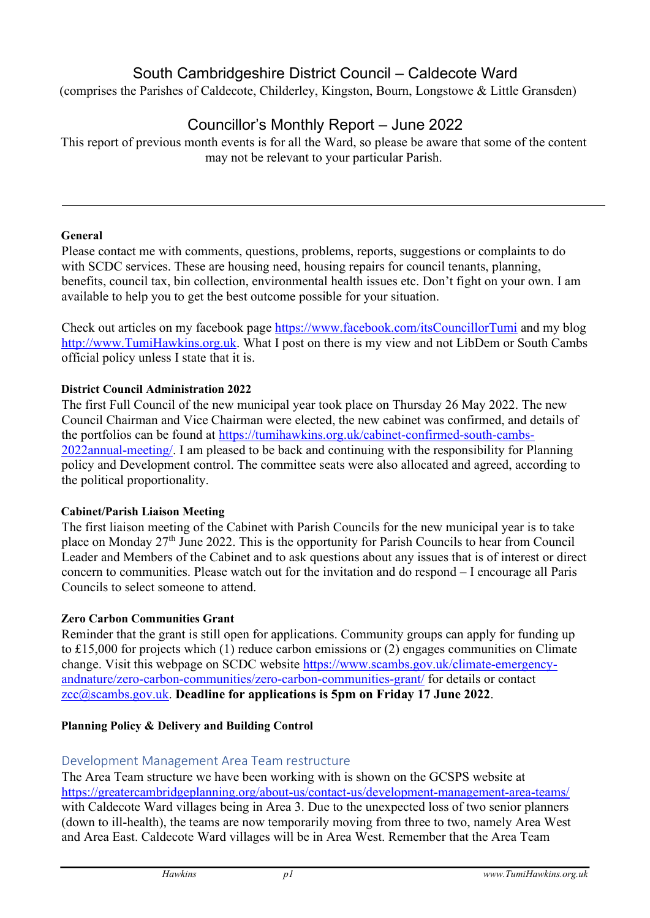# South Cambridgeshire District Council – Caldecote Ward

(comprises the Parishes of Caldecote, Childerley, Kingston, Bourn, Longstowe & Little Gransden)

# Councillor's Monthly Report – June 2022

This report of previous month events is for all the Ward, so please be aware that some of the content may not be relevant to your particular Parish.

## **General**

Please contact me with comments, questions, problems, reports, suggestions or complaints to do with SCDC services. These are housing need, housing repairs for council tenants, planning, benefits, council tax, bin collection, environmental health issues etc. Don't fight on your own. I am available to help you to get the best outcome possible for your situation.

Check out articles on my facebook page<https://www.facebook.com/itsCouncillorTumi> and my blog [http://www.TumiHawkins.org.uk.](http://www.tumihawkins.org.uk/) What I post on there is my view and not LibDem or South Cambs official policy unless I state that it is.

## **District Council Administration 2022**

The first Full Council of the new municipal year took place on Thursday 26 May 2022. The new Council Chairman and Vice Chairman were elected, the new cabinet was confirmed, and details of the portfolios can be found at [https://tumihawkins.org.uk/cabinet-confirmed-south-cambs-](https://tumihawkins.org.uk/cabinet-confirmed-south-cambs-2022-annual-meeting/)[2022annual-meeting/.](https://tumihawkins.org.uk/cabinet-confirmed-south-cambs-2022-annual-meeting/) I am pleased to be back and continuing with the responsibility for Planning policy and Development control. The committee seats were also allocated and agreed, according to the political proportionality.

## **Cabinet/Parish Liaison Meeting**

The first liaison meeting of the Cabinet with Parish Councils for the new municipal year is to take place on Monday 27<sup>th</sup> June 2022. This is the opportunity for Parish Councils to hear from Council Leader and Members of the Cabinet and to ask questions about any issues that is of interest or direct concern to communities. Please watch out for the invitation and do respond – I encourage all Paris Councils to select someone to attend.

## **Zero Carbon Communities Grant**

Reminder that the grant is still open for applications. Community groups can apply for funding up to £15,000 for projects which (1) reduce carbon emissions or (2) engages communities on Climate change. Visit this webpage on SCDC website [https://www.scambs.gov.uk/climate-emergency](https://www.scambs.gov.uk/climate-emergency-and-nature/zero-carbon-communities/zero-carbon-communities-grant/)[andnature/zero-carbon-communities/zero-carbon-communities-grant/](https://www.scambs.gov.uk/climate-emergency-and-nature/zero-carbon-communities/zero-carbon-communities-grant/) [f](https://www.scambs.gov.uk/climate-emergency-and-nature/zero-carbon-communities/zero-carbon-communities-grant/)or details or contact zcc@scambs.gov.uk. **Deadline for applications is 5pm on Friday 17 June 2022**.

## **Planning Policy & Delivery and Building Control**

## Development Management Area Team restructure

The Area Team structure we have been working with is shown on the GCSPS website at <https://greatercambridgeplanning.org/about-us/contact-us/development-management-area-teams/> with Caldecote Ward villages being in Area 3. Due to the unexpected loss of two senior planners (down to ill-health), the teams are now temporarily moving from three to two, namely Area West and Area East. Caldecote Ward villages will be in Area West. Remember that the Area Team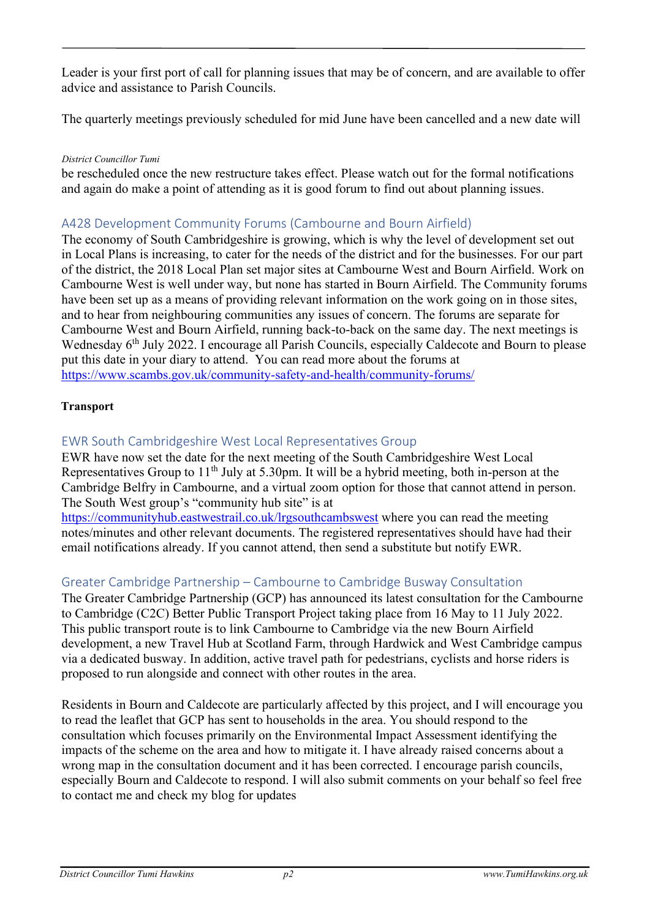Leader is your first port of call for planning issues that may be of concern, and are available to offer advice and assistance to Parish Councils.

The quarterly meetings previously scheduled for mid June have been cancelled and a new date will

#### *District Councillor Tumi*

be rescheduled once the new restructure takes effect. Please watch out for the formal notifications and again do make a point of attending as it is good forum to find out about planning issues.

# A428 Development Community Forums (Cambourne and Bourn Airfield)

The economy of South Cambridgeshire is growing, which is why the level of development set out in Local Plans is increasing, to cater for the needs of the district and for the businesses. For our part of the district, the 2018 Local Plan set major sites at Cambourne West and Bourn Airfield. Work on Cambourne West is well under way, but none has started in Bourn Airfield. The Community forums have been set up as a means of providing relevant information on the work going on in those sites, and to hear from neighbouring communities any issues of concern. The forums are separate for Cambourne West and Bourn Airfield, running back-to-back on the same day. The next meetings is Wednesday 6<sup>th</sup> July 2022. I encourage all Parish Councils, especially Caldecote and Bourn to please put this date in your diary to attend. You can read more about the forums at <https://www.scambs.gov.uk/community-safety-and-health/community-forums/>

## **Transport**

# EWR South Cambridgeshire West Local Representatives Group

EWR have now set the date for the next meeting of the South Cambridgeshire West Local Representatives Group to  $11<sup>th</sup>$  July at 5.30pm. It will be a hybrid meeting, both in-person at the Cambridge Belfry in Cambourne, and a virtual zoom option for those that cannot attend in person. The South West group's "community hub site" is at

[https://communityhub.eastwestrail.co.uk/lrgsouthcambswest](https://communityhub.eastwestrail.co.uk/lrg-southcambswest) where you can read the meeting notes/minutes and other relevant documents. The registered representatives should have had their email notifications already. If you cannot attend, then send a substitute but notify EWR.

# Greater Cambridge Partnership – Cambourne to Cambridge Busway Consultation

The Greater Cambridge Partnership (GCP) has announced its latest consultation for the Cambourne to Cambridge (C2C) Better Public Transport Project taking place from 16 May to 11 July 2022. This public transport route is to link Cambourne to Cambridge via the new Bourn Airfield development, a new Travel Hub at Scotland Farm, through Hardwick and West Cambridge campus via a dedicated busway. In addition, active travel path for pedestrians, cyclists and horse riders is proposed to run alongside and connect with other routes in the area.

Residents in Bourn and Caldecote are particularly affected by this project, and I will encourage you to read the leaflet that GCP has sent to households in the area. You should respond to the consultation which focuses primarily on the Environmental Impact Assessment identifying the impacts of the scheme on the area and how to mitigate it. I have already raised concerns about a wrong map in the consultation document and it has been corrected. I encourage parish councils, especially Bourn and Caldecote to respond. I will also submit comments on your behalf so feel free to contact me and check my blog for updates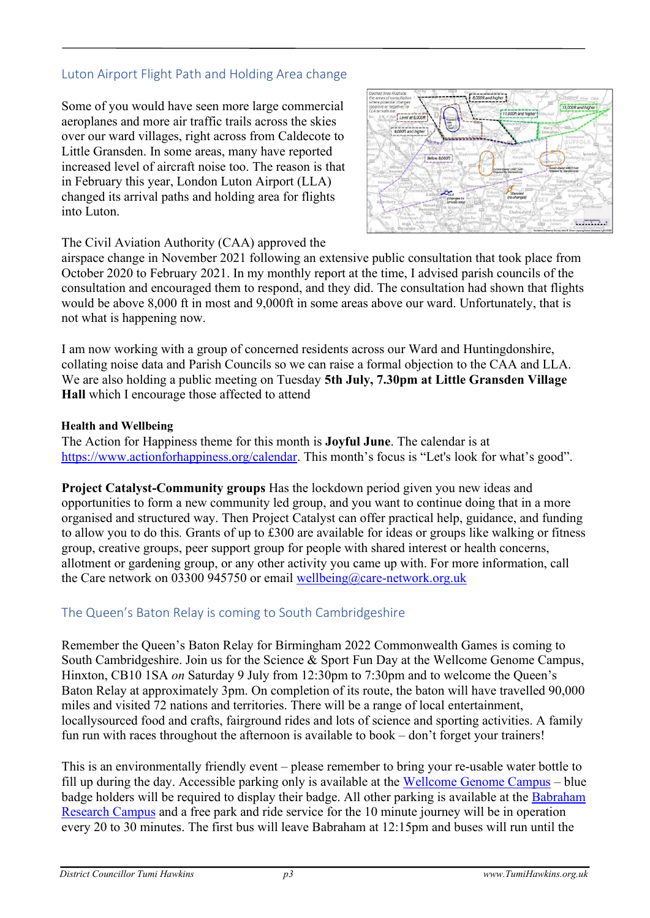# Luton Airport Flight Path and Holding Area change

Some of you would have seen more large commercial aeroplanes and more air traffic trails across the skies over our ward villages, right across from Caldecote to Little Gransden. In some areas, many have reported increased level of aircraft noise too. The reason is that in February this year, London Luton Airport (LLA) changed its arrival paths and holding area for flights into Luton.



# The Civil Aviation Authority (CAA) approved the

airspace change in November 2021 following an extensive public consultation that took place from October 2020 to February 2021. In my monthly report at the time, I advised parish councils of the consultation and encouraged them to respond, and they did. The consultation had shown that flights would be above 8,000 ft in most and 9,000ft in some areas above our ward. Unfortunately, that is not what is happening now.

I am now working with a group of concerned residents across our Ward and Huntingdonshire, collating noise data and Parish Councils so we can raise a formal objection to the CAA and LLA. We are also holding a public meeting on Tuesday **5th July, 7.30pm at Little Gransden Village Hall** which I encourage those affected to attend

## **Health and Wellbeing**

The Action for Happiness theme for this month is **Joyful June**. The calendar is at [https://www.actionforhappiness.org/calendar.](https://www.actionforhappiness.org/calendar) This month's focus is "Let's look for what's good".

**Project Catalyst-Community groups** Has the lockdown period given you new ideas and opportunities to form a new community led group, and you want to continue doing that in a more organised and structured way. Then Project Catalyst can offer practical help, guidance, and funding to allow you to do this*.* Grants of up to £300 are available for ideas or groups like walking or fitness group, creative groups, peer support group for people with shared interest or health concerns, allotment or gardening group, or any other activity you came up with. For more information, call the Care network on 03300 945750 or email wellbeing@care-network.org.uk

# The Queen's Baton Relay is coming to South Cambridgeshire

Remember the Queen's Baton Relay for Birmingham 2022 Commonwealth Games is coming to South Cambridgeshire. Join us for the Science & Sport Fun Day at the Wellcome Genome Campus, Hinxton, CB10 1SA *on* Saturday 9 July from 12:30pm to 7:30pm and to welcome the Queen's Baton Relay at approximately 3pm. On completion of its route, the baton will have travelled 90,000 miles and visited 72 nations and territories. There will be a range of local entertainment, locallysourced food and crafts, fairground rides and lots of science and sporting activities. A family fun run with races throughout the afternoon is available to book – don't forget your trainers!

This is an environmentally friendly event – please remember to bring your re-usable water bottle to fill up during the day. Accessible parking only is available at the [Wellcome Genome Campus](https://www.google.com/maps/place/Wellcome+Genome+Campus/@52.078893,0.18544,17z/data=!3m1!4b1!4m5!3m4!1s0x47d87ccc6d10a9c9:0x3f7ad92339a765b6!8m2!3d52.0788897!4d0.1876287) – blue badge holders will be required to display their badge. All other parking is available at the [Babraham](https://www.google.com/maps/place/Babraham+Research+Campus/@52.132571,0.2057,15z/data=!4m5!3m4!1s0x0:0x27590ab730898bee!8m2!3d52.132571!4d0.2057) [Research Campus](https://www.google.com/maps/place/Babraham+Research+Campus/@52.132571,0.2057,15z/data=!4m5!3m4!1s0x0:0x27590ab730898bee!8m2!3d52.132571!4d0.2057) and a free park and ride service for the 10 minute journey will be in operation every 20 to 30 minutes. The first bus will leave Babraham at 12:15pm and buses will run until the